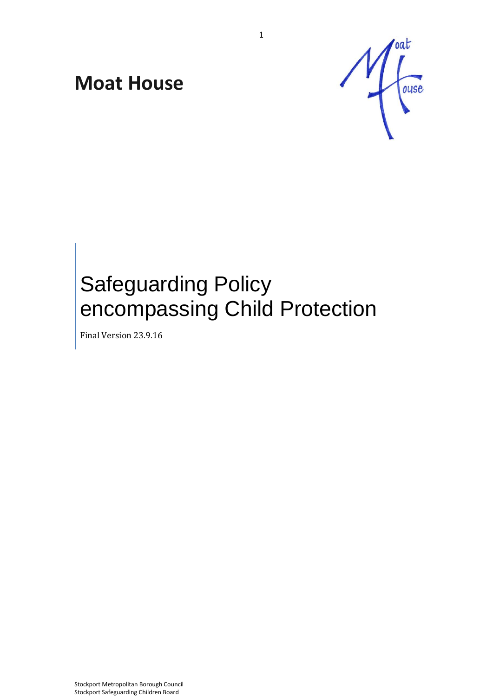# **Moat House**



# Safeguarding Policy encompassing Child Protection

Final Version 23.9.16

Stockport Metropolitan Borough Council Stockport Safeguarding Children Board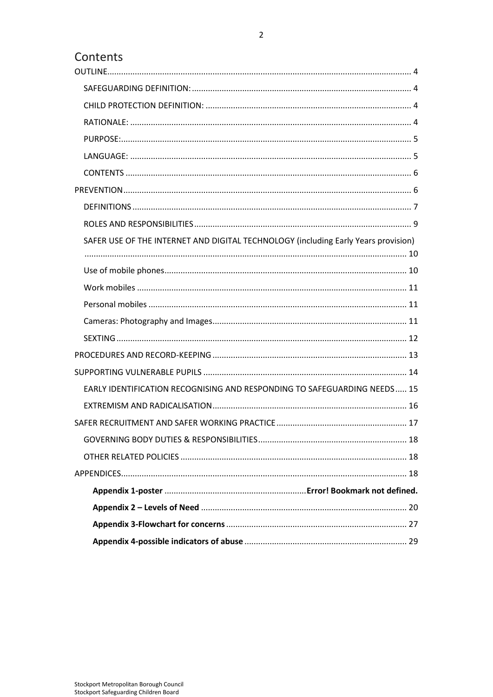# Contents

| SAFER USE OF THE INTERNET AND DIGITAL TECHNOLOGY (including Early Years provision) |  |
|------------------------------------------------------------------------------------|--|
|                                                                                    |  |
|                                                                                    |  |
|                                                                                    |  |
|                                                                                    |  |
|                                                                                    |  |
|                                                                                    |  |
|                                                                                    |  |
| EARLY IDENTIFICATION RECOGNISING AND RESPONDING TO SAFEGUARDING NEEDS 15           |  |
|                                                                                    |  |
|                                                                                    |  |
|                                                                                    |  |
|                                                                                    |  |
|                                                                                    |  |
|                                                                                    |  |
|                                                                                    |  |
|                                                                                    |  |
|                                                                                    |  |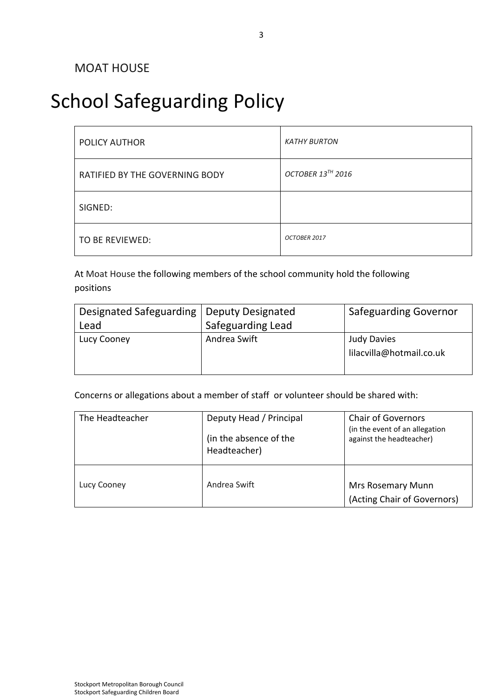# School Safeguarding Policy

| POLICY AUTHOR                  | <b>KATHY BURTON</b> |
|--------------------------------|---------------------|
| RATIFIED BY THE GOVERNING BODY | OCTOBER 13TH 2016   |
| SIGNED:                        |                     |
| TO BE REVIEWED:                | OCTOBER 2017        |

At Moat House the following members of the school community hold the following positions

| Designated Safeguarding   Deputy Designated |                   | <b>Safeguarding Governor</b> |  |
|---------------------------------------------|-------------------|------------------------------|--|
| Lead                                        | Safeguarding Lead |                              |  |
| Lucy Cooney                                 | Andrea Swift      | <b>Judy Davies</b>           |  |
|                                             |                   | lilacvilla@hotmail.co.uk     |  |
|                                             |                   |                              |  |

Concerns or allegations about a member of staff or volunteer should be shared with:

| The Headteacher | Deputy Head / Principal<br>(in the absence of the<br>Headteacher) | <b>Chair of Governors</b><br>(in the event of an allegation<br>against the headteacher) |
|-----------------|-------------------------------------------------------------------|-----------------------------------------------------------------------------------------|
| Lucy Cooney     | Andrea Swift                                                      | <b>Mrs Rosemary Munn</b><br>(Acting Chair of Governors)                                 |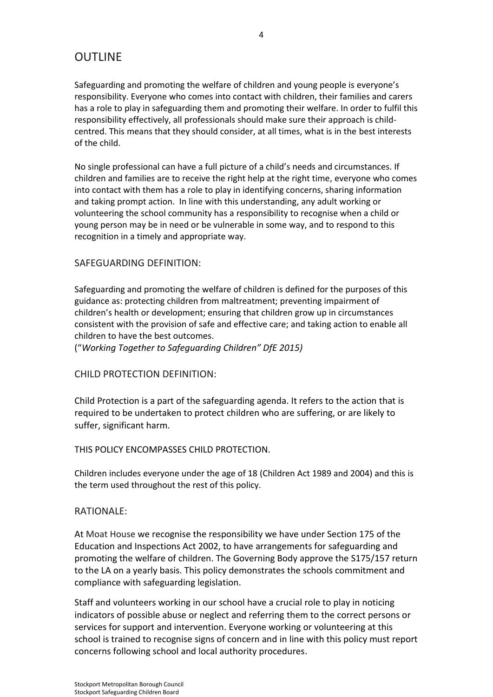# <span id="page-3-0"></span>**OUTLINE**

Safeguarding and promoting the welfare of children and young people is everyone's responsibility. Everyone who comes into contact with children, their families and carers has a role to play in safeguarding them and promoting their welfare. In order to fulfil this responsibility effectively, all professionals should make sure their approach is childcentred. This means that they should consider, at all times, what is in the best interests of the child.

No single professional can have a full picture of a child's needs and circumstances. If children and families are to receive the right help at the right time, everyone who comes into contact with them has a role to play in identifying concerns, sharing information and taking prompt action. In line with this understanding, any adult working or volunteering the school community has a responsibility to recognise when a child or young person may be in need or be vulnerable in some way, and to respond to this recognition in a timely and appropriate way.

## <span id="page-3-1"></span>SAFEGUARDING DEFINITION:

Safeguarding and promoting the welfare of children is defined for the purposes of this guidance as: protecting children from maltreatment; preventing impairment of children's health or development; ensuring that children grow up in circumstances consistent with the provision of safe and effective care; and taking action to enable all children to have the best outcomes.

("*Working Together to Safeguarding Children" DfE 2015)*

# <span id="page-3-2"></span>CHILD PROTECTION DEFINITION:

Child Protection is a part of the safeguarding agenda. It refers to the action that is required to be undertaken to protect children who are suffering, or are likely to suffer, significant harm.

### THIS POLICY ENCOMPASSES CHILD PROTECTION.

Children includes everyone under the age of 18 (Children Act 1989 and 2004) and this is the term used throughout the rest of this policy.

### <span id="page-3-3"></span>RATIONALE:

At Moat House we recognise the responsibility we have under Section 175 of the Education and Inspections Act 2002, to have arrangements for safeguarding and promoting the welfare of children. The Governing Body approve the S175/157 return to the LA on a yearly basis. This policy demonstrates the schools commitment and compliance with safeguarding legislation.

Staff and volunteers working in our school have a crucial role to play in noticing indicators of possible abuse or neglect and referring them to the correct persons or services for support and intervention. Everyone working or volunteering at this school is trained to recognise signs of concern and in line with this policy must report concerns following school and local authority procedures.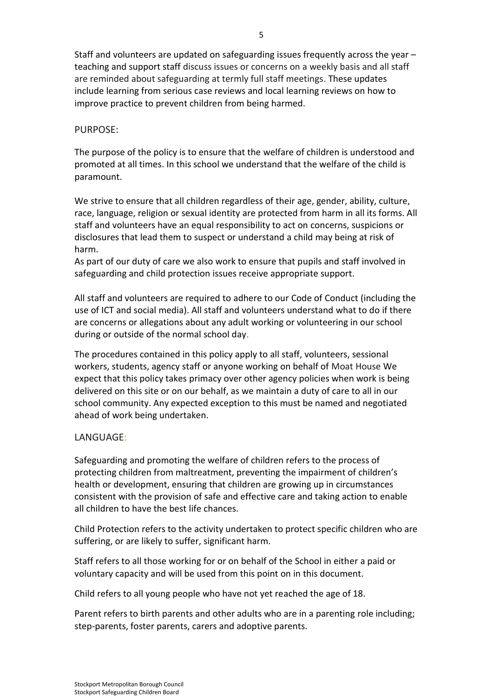Staff and volunteers are updated on safeguarding issues frequently across the year – teaching and support staff discuss issues or concerns on a weekly basis and all staff are reminded about safeguarding at termly full staff meetings. These updates include learning from serious case reviews and local learning reviews on how to improve practice to prevent children from being harmed.

### <span id="page-4-0"></span>PURPOSE:

The purpose of the policy is to ensure that the welfare of children is understood and promoted at all times. In this school we understand that the welfare of the child is paramount.

We strive to ensure that all children regardless of their age, gender, ability, culture, race, language, religion or sexual identity are protected from harm in all its forms. All staff and volunteers have an equal responsibility to act on concerns, suspicions or disclosures that lead them to suspect or understand a child may being at risk of harm.

As part of our duty of care we also work to ensure that pupils and staff involved in safeguarding and child protection issues receive appropriate support.

All staff and volunteers are required to adhere to our Code of Conduct (including the use of ICT and social media). All staff and volunteers understand what to do if there are concerns or allegations about any adult working or volunteering in our school during or outside of the normal school day.

The procedures contained in this policy apply to all staff, volunteers, sessional workers, students, agency staff or anyone working on behalf of Moat House We expect that this policy takes primacy over other agency policies when work is being delivered on this site or on our behalf, as we maintain a duty of care to all in our school community. Any expected exception to this must be named and negotiated ahead of work being undertaken.

### <span id="page-4-1"></span>LANGUAGE:

Safeguarding and promoting the welfare of children refers to the process of protecting children from maltreatment, preventing the impairment of children's health or development, ensuring that children are growing up in circumstances consistent with the provision of safe and effective care and taking action to enable all children to have the best life chances.

Child Protection refers to the activity undertaken to protect specific children who are suffering, or are likely to suffer, significant harm.

Staff refers to all those working for or on behalf of the School in either a paid or voluntary capacity and will be used from this point on in this document.

Child refers to all young people who have not yet reached the age of 18.

Parent refers to birth parents and other adults who are in a parenting role including; step-parents, foster parents, carers and adoptive parents.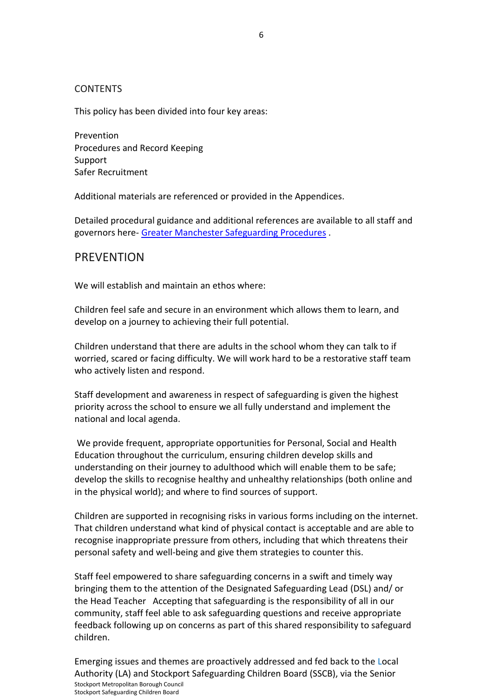## <span id="page-5-0"></span>**CONTENTS**

This policy has been divided into four key areas:

Prevention Procedures and Record Keeping Support Safer Recruitment

Additional materials are referenced or provided in the Appendices.

Detailed procedural guidance and additional references are available to all staff and governors here- [Greater Manchester Safeguarding Procedures](http://greatermanchesterscb.proceduresonline.com/) .

# <span id="page-5-1"></span>PREVENTION

We will establish and maintain an ethos where:

Children feel safe and secure in an environment which allows them to learn, and develop on a journey to achieving their full potential.

Children understand that there are adults in the school whom they can talk to if worried, scared or facing difficulty. We will work hard to be a restorative staff team who actively listen and respond.

Staff development and awareness in respect of safeguarding is given the highest priority across the school to ensure we all fully understand and implement the national and local agenda.

We provide frequent, appropriate opportunities for Personal, Social and Health Education throughout the curriculum, ensuring children develop skills and understanding on their journey to adulthood which will enable them to be safe; develop the skills to recognise healthy and unhealthy relationships (both online and in the physical world); and where to find sources of support.

Children are supported in recognising risks in various forms including on the internet. That children understand what kind of physical contact is acceptable and are able to recognise inappropriate pressure from others, including that which threatens their personal safety and well-being and give them strategies to counter this.

Staff feel empowered to share safeguarding concerns in a swift and timely way bringing them to the attention of the Designated Safeguarding Lead (DSL) and/ or the Head Teacher Accepting that safeguarding is the responsibility of all in our community, staff feel able to ask safeguarding questions and receive appropriate feedback following up on concerns as part of this shared responsibility to safeguard children.

Stockport Metropolitan Borough Council Stockport Safeguarding Children Board Emerging issues and themes are proactively addressed and fed back to the Local Authority (LA) and Stockport Safeguarding Children Board (SSCB), via the Senior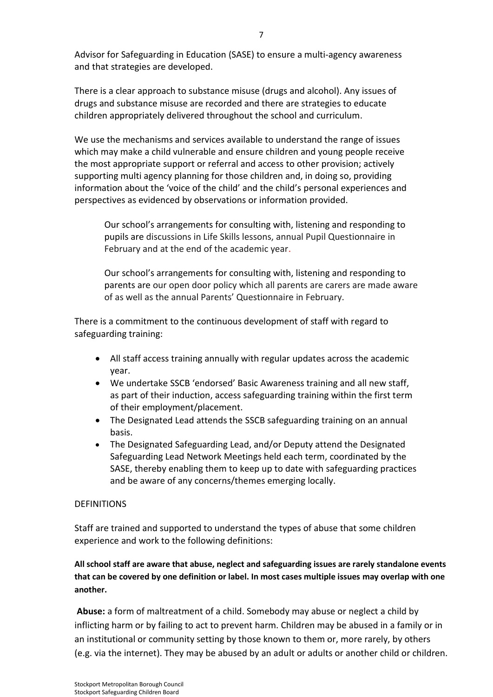Advisor for Safeguarding in Education (SASE) to ensure a multi-agency awareness and that strategies are developed.

There is a clear approach to substance misuse (drugs and alcohol). Any issues of drugs and substance misuse are recorded and there are strategies to educate children appropriately delivered throughout the school and curriculum.

We use the mechanisms and services available to understand the range of issues which may make a child vulnerable and ensure children and young people receive the most appropriate support or referral and access to other provision; actively supporting multi agency planning for those children and, in doing so, providing information about the 'voice of the child' and the child's personal experiences and perspectives as evidenced by observations or information provided.

Our school's arrangements for consulting with, listening and responding to pupils are discussions in Life Skills lessons, annual Pupil Questionnaire in February and at the end of the academic year.

Our school's arrangements for consulting with, listening and responding to parents are our open door policy which all parents are carers are made aware of as well as the annual Parents' Questionnaire in February.

There is a commitment to the continuous development of staff with regard to safeguarding training:

- All staff access training annually with regular updates across the academic year.
- We undertake SSCB 'endorsed' Basic Awareness training and all new staff, as part of their induction, access safeguarding training within the first term of their employment/placement.
- The Designated Lead attends the SSCB safeguarding training on an annual basis.
- <span id="page-6-0"></span> The Designated Safeguarding Lead, and/or Deputy attend the Designated Safeguarding Lead Network Meetings held each term, coordinated by the SASE, thereby enabling them to keep up to date with safeguarding practices and be aware of any concerns/themes emerging locally.

### **DEFINITIONS**

Staff are trained and supported to understand the types of abuse that some children experience and work to the following definitions:

# **All school staff are aware that abuse, neglect and safeguarding issues are rarely standalone events that can be covered by one definition or label. In most cases multiple issues may overlap with one another.**

**Abuse:** a form of maltreatment of a child. Somebody may abuse or neglect a child by inflicting harm or by failing to act to prevent harm. Children may be abused in a family or in an institutional or community setting by those known to them or, more rarely, by others (e.g. via the internet). They may be abused by an adult or adults or another child or children.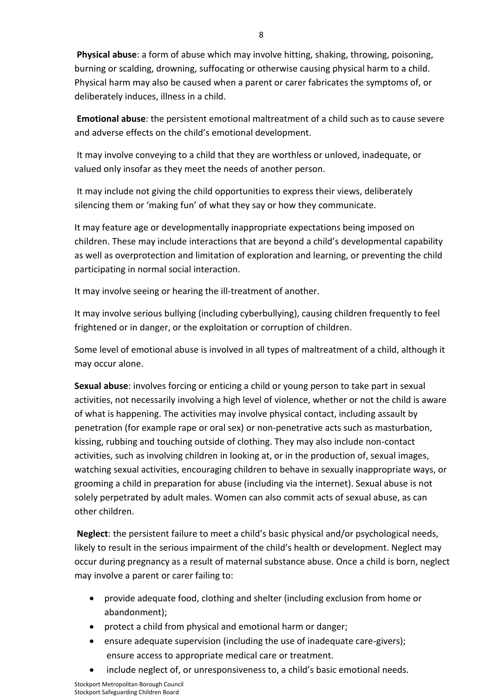**Physical abuse**: a form of abuse which may involve hitting, shaking, throwing, poisoning, burning or scalding, drowning, suffocating or otherwise causing physical harm to a child. Physical harm may also be caused when a parent or carer fabricates the symptoms of, or deliberately induces, illness in a child.

**Emotional abuse**: the persistent emotional maltreatment of a child such as to cause severe and adverse effects on the child's emotional development.

It may involve conveying to a child that they are worthless or unloved, inadequate, or valued only insofar as they meet the needs of another person.

It may include not giving the child opportunities to express their views, deliberately silencing them or 'making fun' of what they say or how they communicate.

It may feature age or developmentally inappropriate expectations being imposed on children. These may include interactions that are beyond a child's developmental capability as well as overprotection and limitation of exploration and learning, or preventing the child participating in normal social interaction.

It may involve seeing or hearing the ill-treatment of another.

It may involve serious bullying (including cyberbullying), causing children frequently to feel frightened or in danger, or the exploitation or corruption of children.

Some level of emotional abuse is involved in all types of maltreatment of a child, although it may occur alone.

**Sexual abuse**: involves forcing or enticing a child or young person to take part in sexual activities, not necessarily involving a high level of violence, whether or not the child is aware of what is happening. The activities may involve physical contact, including assault by penetration (for example rape or oral sex) or non-penetrative acts such as masturbation, kissing, rubbing and touching outside of clothing. They may also include non-contact activities, such as involving children in looking at, or in the production of, sexual images, watching sexual activities, encouraging children to behave in sexually inappropriate ways, or grooming a child in preparation for abuse (including via the internet). Sexual abuse is not solely perpetrated by adult males. Women can also commit acts of sexual abuse, as can other children.

**Neglect**: the persistent failure to meet a child's basic physical and/or psychological needs, likely to result in the serious impairment of the child's health or development. Neglect may occur during pregnancy as a result of maternal substance abuse. Once a child is born, neglect may involve a parent or carer failing to:

- provide adequate food, clothing and shelter (including exclusion from home or abandonment);
- protect a child from physical and emotional harm or danger;
- ensure adequate supervision (including the use of inadequate care-givers); ensure access to appropriate medical care or treatment.
- include neglect of, or unresponsiveness to, a child's basic emotional needs.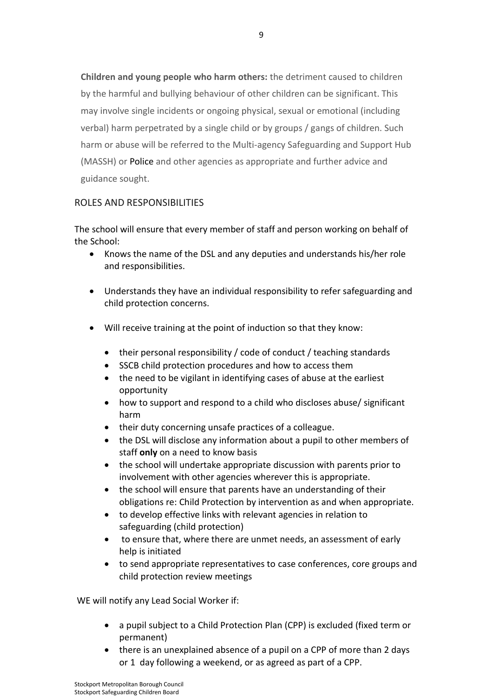**Children and young people who harm others:** the detriment caused to children by the harmful and bullying behaviour of other children can be significant. This may involve single incidents or ongoing physical, sexual or emotional (including verbal) harm perpetrated by a single child or by groups / gangs of children. Such harm or abuse will be referred to the Multi-agency Safeguarding and Support Hub (MASSH) or Police and other agencies as appropriate and further advice and guidance sought.

# <span id="page-8-0"></span>ROLES AND RESPONSIBILITIES

The school will ensure that every member of staff and person working on behalf of the School:

- Knows the name of the DSL and any deputies and understands his/her role and responsibilities.
- Understands they have an individual responsibility to refer safeguarding and child protection concerns.
- Will receive training at the point of induction so that they know:
	- their personal responsibility / code of conduct / teaching standards
	- SSCB child protection procedures and how to access them
	- the need to be vigilant in identifying cases of abuse at the earliest opportunity
	- how to support and respond to a child who discloses abuse/ significant harm
	- their duty concerning unsafe practices of a colleague.
	- the DSL will disclose any information about a pupil to other members of staff **only** on a need to know basis
	- the school will undertake appropriate discussion with parents prior to involvement with other agencies wherever this is appropriate.
	- the school will ensure that parents have an understanding of their obligations re: Child Protection by intervention as and when appropriate.
	- to develop effective links with relevant agencies in relation to safeguarding (child protection)
	- to ensure that, where there are unmet needs, an assessment of early help is initiated
	- to send appropriate representatives to case conferences, core groups and child protection review meetings

WE will notify any Lead Social Worker if:

- a pupil subject to a Child Protection Plan (CPP) is excluded (fixed term or permanent)
- there is an unexplained absence of a pupil on a CPP of more than 2 days or 1 day following a weekend, or as agreed as part of a CPP.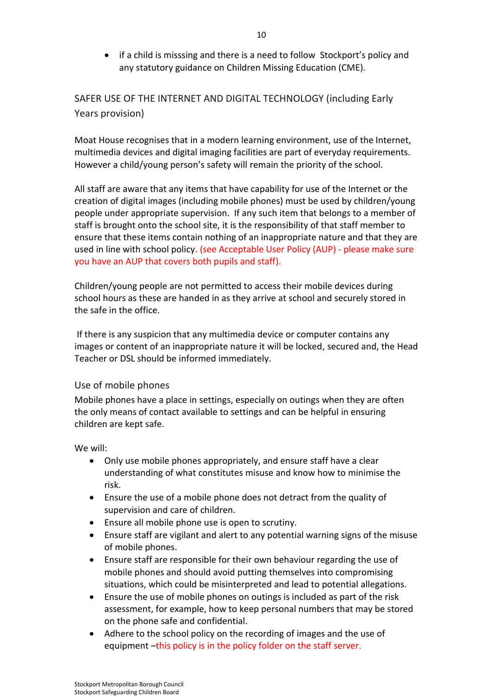if a child is misssing and there is a need to follow Stockport's policy and any statutory guidance on Children Missing Education (CME).

<span id="page-9-0"></span>SAFER USE OF THE INTERNET AND DIGITAL TECHNOLOGY (including Early Years provision)

Moat House recognises that in a modern learning environment, use of the Internet, multimedia devices and digital imaging facilities are part of everyday requirements. However a child/young person's safety will remain the priority of the school.

All staff are aware that any items that have capability for use of the Internet or the creation of digital images (including mobile phones) must be used by children/young people under appropriate supervision. If any such item that belongs to a member of staff is brought onto the school site, it is the responsibility of that staff member to ensure that these items contain nothing of an inappropriate nature and that they are used in line with school policy. (see Acceptable User Policy (AUP) - please make sure you have an AUP that covers both pupils and staff).

Children/young people are not permitted to access their mobile devices during school hours as these are handed in as they arrive at school and securely stored in the safe in the office.

If there is any suspicion that any multimedia device or computer contains any images or content of an inappropriate nature it will be locked, secured and, the Head Teacher or DSL should be informed immediately.

# <span id="page-9-1"></span>Use of mobile phones

Mobile phones have a place in settings, especially on outings when they are often the only means of contact available to settings and can be helpful in ensuring children are kept safe.

We will:

- Only use mobile phones appropriately, and ensure staff have a clear understanding of what constitutes misuse and know how to minimise the risk.
- Ensure the use of a mobile phone does not detract from the quality of supervision and care of children.
- Ensure all mobile phone use is open to scrutiny.
- Ensure staff are vigilant and alert to any potential warning signs of the misuse of mobile phones.
- Ensure staff are responsible for their own behaviour regarding the use of mobile phones and should avoid putting themselves into compromising situations, which could be misinterpreted and lead to potential allegations.
- Ensure the use of mobile phones on outings is included as part of the risk assessment, for example, how to keep personal numbers that may be stored on the phone safe and confidential.
- Adhere to the school policy on the recording of images and the use of equipment –this policy is in the policy folder on the staff server.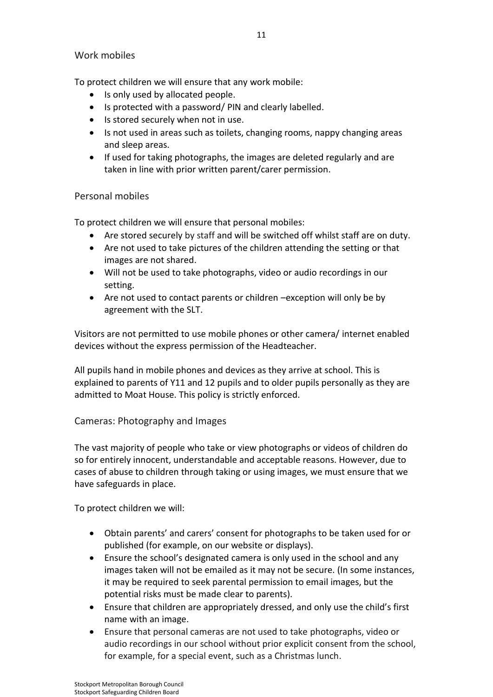## <span id="page-10-0"></span>Work mobiles

To protect children we will ensure that any work mobile:

- Is only used by allocated people.
- Is protected with a password/ PIN and clearly labelled.
- Is stored securely when not in use.
- Is not used in areas such as toilets, changing rooms, nappy changing areas and sleep areas.
- If used for taking photographs, the images are deleted regularly and are taken in line with prior written parent/carer permission.

## <span id="page-10-1"></span>Personal mobiles

To protect children we will ensure that personal mobiles:

- Are stored securely by staff and will be switched off whilst staff are on duty.
- Are not used to take pictures of the children attending the setting or that images are not shared.
- Will not be used to take photographs, video or audio recordings in our setting.
- Are not used to contact parents or children –exception will only be by agreement with the SLT.

Visitors are not permitted to use mobile phones or other camera/ internet enabled devices without the express permission of the Headteacher.

All pupils hand in mobile phones and devices as they arrive at school. This is explained to parents of Y11 and 12 pupils and to older pupils personally as they are admitted to Moat House. This policy is strictly enforced.

# <span id="page-10-2"></span>Cameras: Photography and Images

The vast majority of people who take or view photographs or videos of children do so for entirely innocent, understandable and acceptable reasons. However, due to cases of abuse to children through taking or using images, we must ensure that we have safeguards in place.

To protect children we will:

- Obtain parents' and carers' consent for photographs to be taken used for or published (for example, on our website or displays).
- Ensure the school's designated camera is only used in the school and any images taken will not be emailed as it may not be secure. (In some instances, it may be required to seek parental permission to email images, but the potential risks must be made clear to parents).
- Ensure that children are appropriately dressed, and only use the child's first name with an image.
- Ensure that personal cameras are not used to take photographs, video or audio recordings in our school without prior explicit consent from the school, for example, for a special event, such as a Christmas lunch.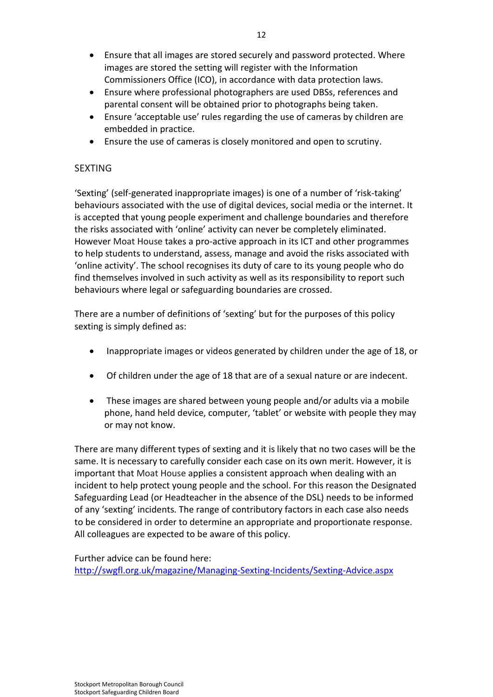- Ensure that all images are stored securely and password protected. Where images are stored the setting will register with the Information Commissioners Office (ICO), in accordance with data protection laws.
- Ensure where professional photographers are used DBSs, references and parental consent will be obtained prior to photographs being taken.
- Ensure 'acceptable use' rules regarding the use of cameras by children are embedded in practice.
- Ensure the use of cameras is closely monitored and open to scrutiny.

# <span id="page-11-0"></span>**SEXTING**

'Sexting' (self-generated inappropriate images) is one of a number of 'risk-taking' behaviours associated with the use of digital devices, social media or the internet. It is accepted that young people experiment and challenge boundaries and therefore the risks associated with 'online' activity can never be completely eliminated. However Moat House takes a pro-active approach in its ICT and other programmes to help students to understand, assess, manage and avoid the risks associated with 'online activity'. The school recognises its duty of care to its young people who do find themselves involved in such activity as well as its responsibility to report such behaviours where legal or safeguarding boundaries are crossed.

There are a number of definitions of 'sexting' but for the purposes of this policy sexting is simply defined as:

- Inappropriate images or videos generated by children under the age of 18, or
- Of children under the age of 18 that are of a sexual nature or are indecent.
- These images are shared between young people and/or adults via a mobile phone, hand held device, computer, 'tablet' or website with people they may or may not know.

There are many different types of sexting and it is likely that no two cases will be the same. It is necessary to carefully consider each case on its own merit. However, it is important that Moat House applies a consistent approach when dealing with an incident to help protect young people and the school. For this reason the Designated Safeguarding Lead (or Headteacher in the absence of the DSL) needs to be informed of any 'sexting' incidents. The range of contributory factors in each case also needs to be considered in order to determine an appropriate and proportionate response. All colleagues are expected to be aware of this policy.

Further advice can be found here: <http://swgfl.org.uk/magazine/Managing-Sexting-Incidents/Sexting-Advice.aspx>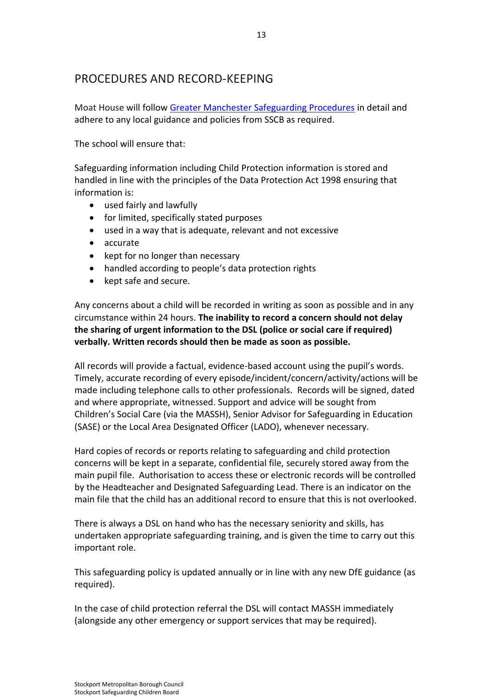# <span id="page-12-0"></span>PROCEDURES AND RECORD-KEEPING

Moat House will follow [Greater Manchester Safeguarding Procedures](http://greatermanchesterscb.proceduresonline.com/) in detail and adhere to any local guidance and policies from SSCB as required.

The school will ensure that:

Safeguarding information including Child Protection information is stored and handled in line with the principles of the Data Protection Act 1998 ensuring that information is:

- used fairly and lawfully
- for limited, specifically stated purposes
- used in a way that is adequate, relevant and not excessive
- accurate
- $\bullet$  kept for no longer than necessary
- handled according to people's data protection rights
- kept safe and secure.

Any concerns about a child will be recorded in writing as soon as possible and in any circumstance within 24 hours. **The inability to record a concern should not delay the sharing of urgent information to the DSL (police or social care if required) verbally. Written records should then be made as soon as possible.** 

All records will provide a factual, evidence-based account using the pupil's words. Timely, accurate recording of every episode/incident/concern/activity/actions will be made including telephone calls to other professionals. Records will be signed, dated and where appropriate, witnessed. Support and advice will be sought from Children's Social Care (via the MASSH), Senior Advisor for Safeguarding in Education (SASE) or the Local Area Designated Officer (LADO), whenever necessary.

Hard copies of records or reports relating to safeguarding and child protection concerns will be kept in a separate, confidential file, securely stored away from the main pupil file. Authorisation to access these or electronic records will be controlled by the Headteacher and Designated Safeguarding Lead. There is an indicator on the main file that the child has an additional record to ensure that this is not overlooked.

There is always a DSL on hand who has the necessary seniority and skills, has undertaken appropriate safeguarding training, and is given the time to carry out this important role.

This safeguarding policy is updated annually or in line with any new DfE guidance (as required).

In the case of child protection referral the DSL will contact MASSH immediately (alongside any other emergency or support services that may be required).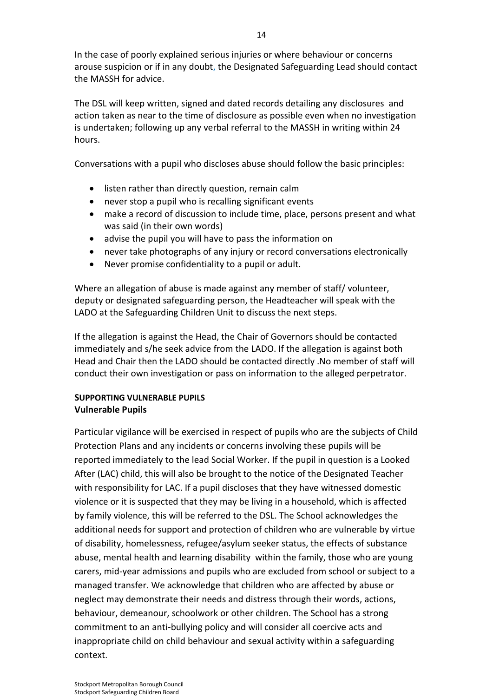In the case of poorly explained serious injuries or where behaviour or concerns arouse suspicion or if in any doubt, the Designated Safeguarding Lead should contact the MASSH for advice.

The DSL will keep written, signed and dated records detailing any disclosures and action taken as near to the time of disclosure as possible even when no investigation is undertaken; following up any verbal referral to the MASSH in writing within 24 hours.

Conversations with a pupil who discloses abuse should follow the basic principles:

- listen rather than directly question, remain calm
- never stop a pupil who is recalling significant events
- make a record of discussion to include time, place, persons present and what was said (in their own words)
- advise the pupil you will have to pass the information on
- never take photographs of any injury or record conversations electronically
- Never promise confidentiality to a pupil or adult.

Where an allegation of abuse is made against any member of staff/ volunteer, deputy or designated safeguarding person, the Headteacher will speak with the LADO at the Safeguarding Children Unit to discuss the next steps.

If the allegation is against the Head, the Chair of Governors should be contacted immediately and s/he seek advice from the LADO. If the allegation is against both Head and Chair then the LADO should be contacted directly .No member of staff will conduct their own investigation or pass on information to the alleged perpetrator.

# <span id="page-13-0"></span>**SUPPORTING VULNERABLE PUPILS Vulnerable Pupils**

Particular vigilance will be exercised in respect of pupils who are the subjects of Child Protection Plans and any incidents or concerns involving these pupils will be reported immediately to the lead Social Worker. If the pupil in question is a Looked After (LAC) child, this will also be brought to the notice of the Designated Teacher with responsibility for LAC. If a pupil discloses that they have witnessed domestic violence or it is suspected that they may be living in a household, which is affected by family violence, this will be referred to the DSL. The School acknowledges the additional needs for support and protection of children who are vulnerable by virtue of disability, homelessness, refugee/asylum seeker status, the effects of substance abuse, mental health and learning disability within the family, those who are young carers, mid-year admissions and pupils who are excluded from school or subject to a managed transfer. We acknowledge that children who are affected by abuse or neglect may demonstrate their needs and distress through their words, actions, behaviour, demeanour, schoolwork or other children. The School has a strong commitment to an anti-bullying policy and will consider all coercive acts and inappropriate child on child behaviour and sexual activity within a safeguarding context.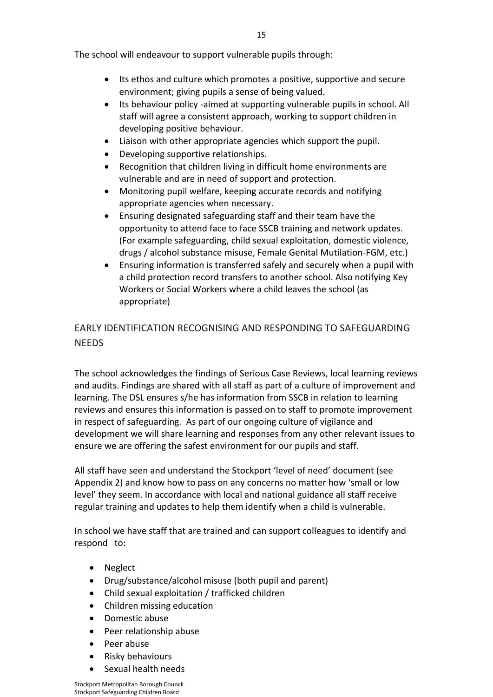The school will endeavour to support vulnerable pupils through:

- Its ethos and culture which promotes a positive, supportive and secure environment; giving pupils a sense of being valued.
- Its behaviour policy -aimed at supporting vulnerable pupils in school. All staff will agree a consistent approach, working to support children in developing positive behaviour.
- Liaison with other appropriate agencies which support the pupil.
- Developing supportive relationships.
- Recognition that children living in difficult home environments are vulnerable and are in need of support and protection.
- Monitoring pupil welfare, keeping accurate records and notifying appropriate agencies when necessary.
- Ensuring designated safeguarding staff and their team have the opportunity to attend face to face SSCB training and network updates. (For example safeguarding, child sexual exploitation, domestic violence, drugs / alcohol substance misuse, Female Genital Mutilation-FGM, etc.)
- Ensuring information is transferred safely and securely when a pupil with a child protection record transfers to another school. Also notifying Key Workers or Social Workers where a child leaves the school (as appropriate)

# <span id="page-14-0"></span>EARLY IDENTIFICATION RECOGNISING AND RESPONDING TO SAFEGUARDING **NFFDS**

The school acknowledges the findings of Serious Case Reviews, local learning reviews and audits. Findings are shared with all staff as part of a culture of improvement and learning. The DSL ensures s/he has information from SSCB in relation to learning reviews and ensures this information is passed on to staff to promote improvement in respect of safeguarding. As part of our ongoing culture of vigilance and development we will share learning and responses from any other relevant issues to ensure we are offering the safest environment for our pupils and staff.

All staff have seen and understand the Stockport 'level of need' document (see Appendix 2) and know how to pass on any concerns no matter how 'small or low level' they seem. In accordance with local and national guidance all staff receive regular training and updates to help them identify when a child is vulnerable.

In school we have staff that are trained and can support colleagues to identify and respond to:

- Neglect
- Drug/substance/alcohol misuse (both pupil and parent)
- Child sexual exploitation / trafficked children
- Children missing education
- Domestic abuse
- Peer relationship abuse
- Peer abuse
- Risky behaviours
- Sexual health needs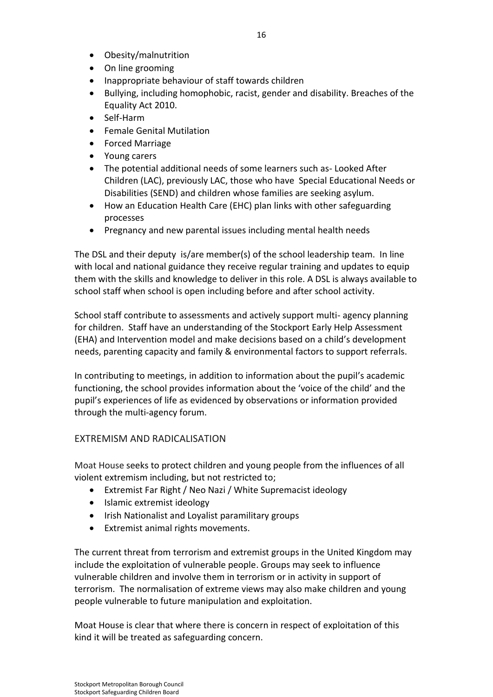- Obesity/malnutrition
- On line grooming
- Inappropriate behaviour of staff towards children
- Bullying, including homophobic, racist, gender and disability. Breaches of the Equality Act 2010.
- Self-Harm
- Female Genital Mutilation
- Forced Marriage
- Young carers
- The potential additional needs of some learners such as- Looked After Children (LAC), previously LAC, those who have Special Educational Needs or Disabilities (SEND) and children whose families are seeking asylum.
- How an Education Health Care (EHC) plan links with other safeguarding processes
- Pregnancy and new parental issues including mental health needs

The DSL and their deputy is/are member(s) of the school leadership team. In line with local and national guidance they receive regular training and updates to equip them with the skills and knowledge to deliver in this role. A DSL is always available to school staff when school is open including before and after school activity.

School staff contribute to assessments and actively support multi- agency planning for children. Staff have an understanding of the Stockport Early Help Assessment (EHA) and Intervention model and make decisions based on a child's development needs, parenting capacity and family & environmental factors to support referrals.

In contributing to meetings, in addition to information about the pupil's academic functioning, the school provides information about the 'voice of the child' and the pupil's experiences of life as evidenced by observations or information provided through the multi-agency forum.

# <span id="page-15-0"></span>EXTREMISM AND RADICALISATION

Moat House seeks to protect children and young people from the influences of all violent extremism including, but not restricted to;

- Extremist Far Right / Neo Nazi / White Supremacist ideology
- Islamic extremist ideology
- Irish Nationalist and Loyalist paramilitary groups
- Extremist animal rights movements.

The current threat from terrorism and extremist groups in the United Kingdom may include the exploitation of vulnerable people. Groups may seek to influence vulnerable children and involve them in terrorism or in activity in support of terrorism. The normalisation of extreme views may also make children and young people vulnerable to future manipulation and exploitation.

Moat House is clear that where there is concern in respect of exploitation of this kind it will be treated as safeguarding concern.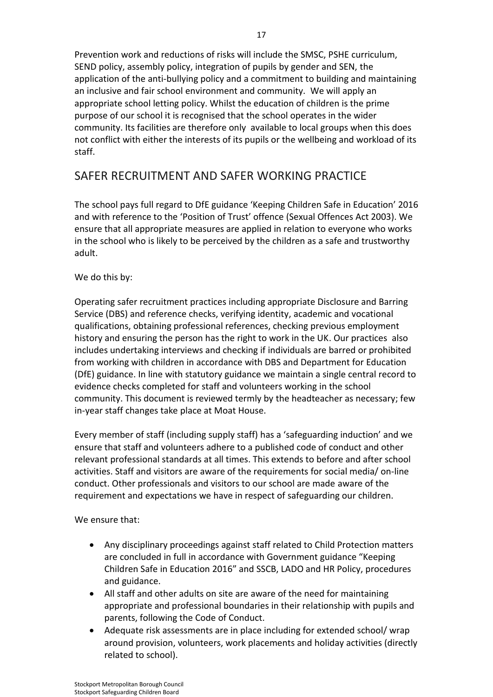Prevention work and reductions of risks will include the SMSC, PSHE curriculum, SEND policy, assembly policy, integration of pupils by gender and SEN, the application of the anti-bullying policy and a commitment to building and maintaining an inclusive and fair school environment and community. We will apply an appropriate school letting policy. Whilst the education of children is the prime purpose of our school it is recognised that the school operates in the wider community. Its facilities are therefore only available to local groups when this does not conflict with either the interests of its pupils or the wellbeing and workload of its staff.

# <span id="page-16-0"></span>SAFER RECRUITMENT AND SAFER WORKING PRACTICE

The school pays full regard to DfE guidance 'Keeping Children Safe in Education' 2016 and with reference to the 'Position of Trust' offence (Sexual Offences Act 2003). We ensure that all appropriate measures are applied in relation to everyone who works in the school who is likely to be perceived by the children as a safe and trustworthy adult.

## We do this by:

Operating safer recruitment practices including appropriate Disclosure and Barring Service (DBS) and reference checks, verifying identity, academic and vocational qualifications, obtaining professional references, checking previous employment history and ensuring the person has the right to work in the UK. Our practices also includes undertaking interviews and checking if individuals are barred or prohibited from working with children in accordance with DBS and Department for Education (DfE) guidance. In line with statutory guidance we maintain a single central record to evidence checks completed for staff and volunteers working in the school community. This document is reviewed termly by the headteacher as necessary; few in-year staff changes take place at Moat House.

Every member of staff (including supply staff) has a 'safeguarding induction' and we ensure that staff and volunteers adhere to a published code of conduct and other relevant professional standards at all times. This extends to before and after school activities. Staff and visitors are aware of the requirements for social media/ on-line conduct. Other professionals and visitors to our school are made aware of the requirement and expectations we have in respect of safeguarding our children.

We ensure that:

- Any disciplinary proceedings against staff related to Child Protection matters are concluded in full in accordance with Government guidance "Keeping Children Safe in Education 2016" and SSCB, LADO and HR Policy, procedures and guidance.
- All staff and other adults on site are aware of the need for maintaining appropriate and professional boundaries in their relationship with pupils and parents, following the Code of Conduct.
- Adequate risk assessments are in place including for extended school/ wrap around provision, volunteers, work placements and holiday activities (directly related to school).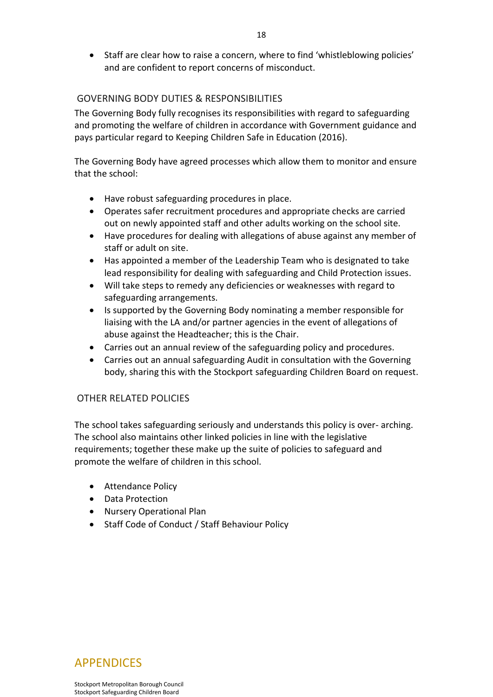• Staff are clear how to raise a concern, where to find 'whistleblowing policies' and are confident to report concerns of misconduct.

## <span id="page-17-0"></span>GOVERNING BODY DUTIES & RESPONSIBILITIES

The Governing Body fully recognises its responsibilities with regard to safeguarding and promoting the welfare of children in accordance with Government guidance and pays particular regard to Keeping Children Safe in Education (2016).

The Governing Body have agreed processes which allow them to monitor and ensure that the school:

- Have robust safeguarding procedures in place.
- Operates safer recruitment procedures and appropriate checks are carried out on newly appointed staff and other adults working on the school site.
- Have procedures for dealing with allegations of abuse against any member of staff or adult on site.
- Has appointed a member of the Leadership Team who is designated to take lead responsibility for dealing with safeguarding and Child Protection issues.
- Will take steps to remedy any deficiencies or weaknesses with regard to safeguarding arrangements.
- Is supported by the Governing Body nominating a member responsible for liaising with the LA and/or partner agencies in the event of allegations of abuse against the Headteacher; this is the Chair.
- Carries out an annual review of the safeguarding policy and procedures.
- Carries out an annual safeguarding Audit in consultation with the Governing body, sharing this with the Stockport safeguarding Children Board on request.

# <span id="page-17-1"></span>OTHER RELATED POLICIES

The school takes safeguarding seriously and understands this policy is over- arching. The school also maintains other linked policies in line with the legislative requirements; together these make up the suite of policies to safeguard and promote the welfare of children in this school.

- Attendance Policy
- Data Protection
- Nursery Operational Plan
- <span id="page-17-2"></span>• Staff Code of Conduct / Staff Behaviour Policy

**APPENDICES** 

Stockport Metropolitan Borough Council Stockport Safeguarding Children Board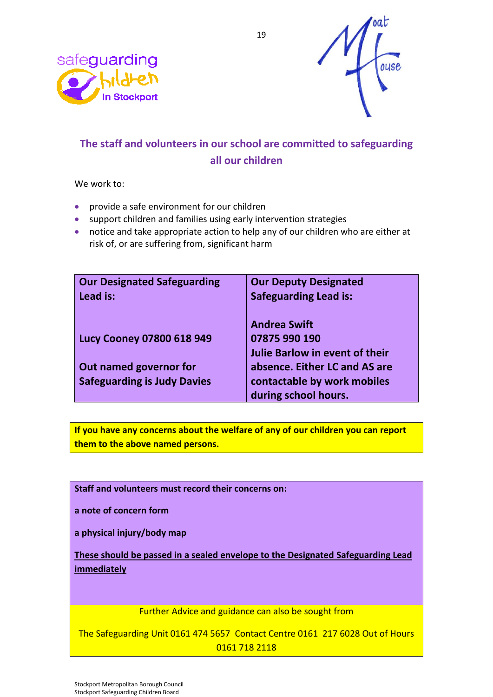



# **The staff and volunteers in our school are committed to safeguarding all our children**

We work to:

- provide a safe environment for our children
- support children and families using early intervention strategies
- notice and take appropriate action to help any of our children who are either at risk of, or are suffering from, significant harm

| <b>Our Designated Safeguarding</b><br>Lead is:               | <b>Our Deputy Designated</b><br><b>Safeguarding Lead is:</b>                         |
|--------------------------------------------------------------|--------------------------------------------------------------------------------------|
| <b>Lucy Cooney 07800 618 949</b>                             | <b>Andrea Swift</b><br>07875 990 190<br><b>Julie Barlow in event of their</b>        |
| Out named governor for<br><b>Safeguarding is Judy Davies</b> | absence. Either LC and AS are<br>contactable by work mobiles<br>during school hours. |

**If you have any concerns about the welfare of any of our children you can report them to the above named persons.**

**Staff and volunteers must record their concerns on:**

**a note of concern form**

**a physical injury/body map**

**These should be passed in a sealed envelope to the Designated Safeguarding Lead immediately**

Further Advice and guidance can also be sought from

The Safeguarding Unit 0161 474 5657 Contact Centre 0161 217 6028 Out of Hours 0161 718 2118

Stockport Metropolitan Borough Council Stockport Safeguarding Children Board

19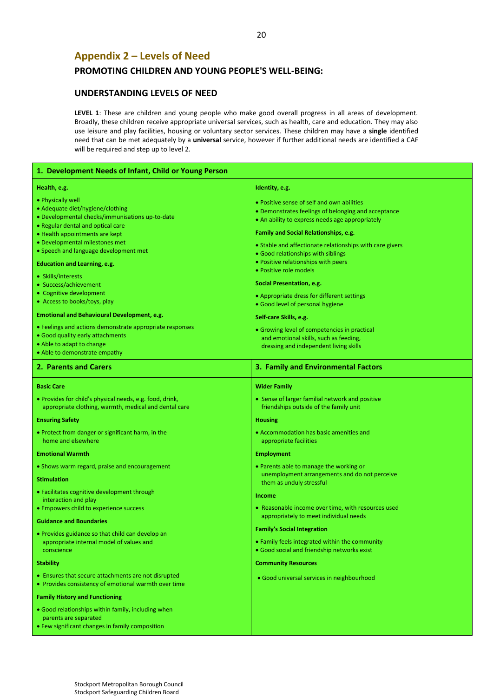# <span id="page-19-0"></span>**Appendix 2 – Levels of Need**

### **PROMOTING CHILDREN AND YOUNG PEOPLE'S WELL-BEING:**

### **UNDERSTANDING LEVELS OF NEED**

LEVEL 1: These are children and young people who make good overall progress in all areas of development. Broadly, these children receive appropriate universal services, such as health, care and education. They may also use leisure and play facilities, housing or voluntary sector services. These children may have a **single** identified need that can be met adequately by a **universal** service, however if further additional needs are identified a CAF will be required and step up to level 2.

| 1. Development Needs of Infant, Child or Young Person                                                             |                                                                                           |  |
|-------------------------------------------------------------------------------------------------------------------|-------------------------------------------------------------------------------------------|--|
| Health, e.g.                                                                                                      | Identity, e.g.                                                                            |  |
| • Physically well                                                                                                 | • Positive sense of self and own abilities                                                |  |
| • Adequate diet/hygiene/clothing                                                                                  | • Demonstrates feelings of belonging and acceptance                                       |  |
| · Developmental checks/immunisations up-to-date                                                                   | • An ability to express needs age appropriately                                           |  |
| • Regular dental and optical care                                                                                 | <b>Family and Social Relationships, e.g.</b>                                              |  |
| • Health appointments are kept<br>• Developmental milestones met                                                  |                                                                                           |  |
| • Speech and language development met                                                                             | • Stable and affectionate relationships with care givers                                  |  |
|                                                                                                                   | • Good relationships with siblings<br>• Positive relationships with peers                 |  |
| <b>Education and Learning, e.g.</b>                                                                               | • Positive role models                                                                    |  |
| • Skills/interests                                                                                                |                                                                                           |  |
| • Success/achievement                                                                                             | Social Presentation, e.g.                                                                 |  |
| • Cognitive development<br>• Access to books/toys, play                                                           | • Appropriate dress for different settings                                                |  |
|                                                                                                                   | · Good level of personal hygiene                                                          |  |
| <b>Emotional and Behavioural Development, e.g.</b>                                                                | Self-care Skills, e.g.                                                                    |  |
| • Feelings and actions demonstrate appropriate responses                                                          | • Growing level of competencies in practical                                              |  |
| • Good quality early attachments                                                                                  | and emotional skills, such as feeding,                                                    |  |
| • Able to adapt to change<br>• Able to demonstrate empathy                                                        | dressing and independent living skills                                                    |  |
|                                                                                                                   |                                                                                           |  |
| 2. Parents and Carers                                                                                             | 3. Family and Environmental Factors                                                       |  |
| <b>Basic Care</b>                                                                                                 | <b>Wider Family</b>                                                                       |  |
| . Provides for child's physical needs, e.g. food, drink,<br>appropriate clothing, warmth, medical and dental care | • Sense of larger familial network and positive<br>friendships outside of the family unit |  |
| <b>Ensuring Safety</b>                                                                                            | <b>Housing</b>                                                                            |  |
| • Protect from danger or significant harm, in the                                                                 | • Accommodation has basic amenities and                                                   |  |
| home and elsewhere                                                                                                | appropriate facilities                                                                    |  |
| <b>Emotional Warmth</b>                                                                                           | <b>Employment</b>                                                                         |  |
| • Shows warm regard, praise and encouragement                                                                     | • Parents able to manage the working or                                                   |  |
| <b>Stimulation</b>                                                                                                | unemployment arrangements and do not perceive<br>them as unduly stressful                 |  |
| • Facilitates cognitive development through                                                                       |                                                                                           |  |
| interaction and play                                                                                              | Income                                                                                    |  |
| • Empowers child to experience success                                                                            | • Reasonable income over time, with resources used                                        |  |
| <b>Guidance and Boundaries</b>                                                                                    | appropriately to meet individual needs                                                    |  |
| • Provides guidance so that child can develop an                                                                  | <b>Family's Social Integration</b>                                                        |  |
| appropriate internal model of values and                                                                          | • Family feels integrated within the community                                            |  |
| conscience                                                                                                        | • Good social and friendship networks exist                                               |  |
| <b>Stability</b>                                                                                                  | <b>Community Resources</b>                                                                |  |
| • Ensures that secure attachments are not disrupted                                                               | · Good universal services in neighbourhood                                                |  |
| • Provides consistency of emotional warmth over time                                                              |                                                                                           |  |
| <b>Family History and Functioning</b>                                                                             |                                                                                           |  |
| • Good relationships within family, including when                                                                |                                                                                           |  |
| parents are separated                                                                                             |                                                                                           |  |
| • Few significant changes in family composition                                                                   |                                                                                           |  |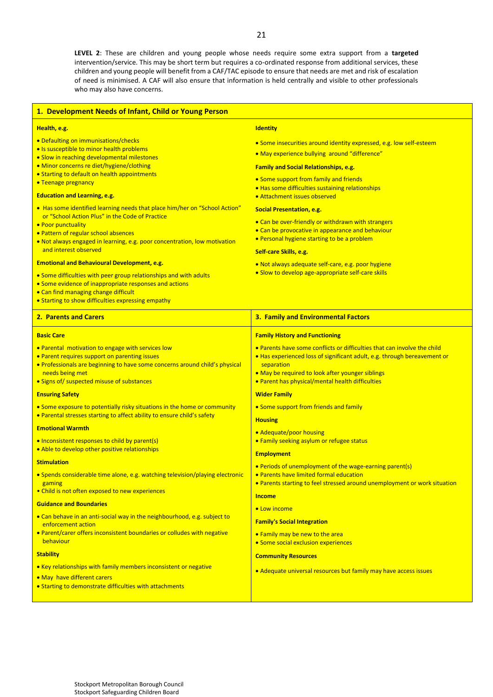**LEVEL 2**: These are children and young people whose needs require some extra support from a **targeted** intervention/service. This may be short term but requires a co-ordinated response from additional services, these children and young people will benefit from a CAF/TAC episode to ensure that needs are met and risk of escalation of need is minimised. A CAF will also ensure that information is held centrally and visible to other professionals who may also have concerns.

| 1. Development Needs of Infant, Child or Young Person                                                                                                                                                                                                                                             |                                                                                                                                                                                                                                                                            |
|---------------------------------------------------------------------------------------------------------------------------------------------------------------------------------------------------------------------------------------------------------------------------------------------------|----------------------------------------------------------------------------------------------------------------------------------------------------------------------------------------------------------------------------------------------------------------------------|
| Health, e.g.                                                                                                                                                                                                                                                                                      | <b>Identity</b>                                                                                                                                                                                                                                                            |
| • Defaulting on immunisations/checks<br>• Is susceptible to minor health problems<br>· Slow in reaching developmental milestones                                                                                                                                                                  | • Some insecurities around identity expressed, e.g. low self-esteem<br>• May experience bullying around "difference"                                                                                                                                                       |
| • Minor concerns re diet/hygiene/clothing<br>• Starting to default on health appointments<br>• Teenage pregnancy                                                                                                                                                                                  | <b>Family and Social Relationships, e.g.</b><br>• Some support from family and friends<br>• Has some difficulties sustaining relationships                                                                                                                                 |
| <b>Education and Learning, e.g.</b>                                                                                                                                                                                                                                                               | • Attachment issues observed                                                                                                                                                                                                                                               |
| • Has some identified learning needs that place him/her on "School Action"<br>or "School Action Plus" in the Code of Practice<br>• Poor punctuality<br>• Pattern of regular school absences<br>. Not always engaged in learning, e.g. poor concentration, low motivation<br>and interest observed | <b>Social Presentation, e.g.</b><br>• Can be over-friendly or withdrawn with strangers<br>• Can be provocative in appearance and behaviour<br>• Personal hygiene starting to be a problem<br>Self-care Skills, e.g.                                                        |
| <b>Emotional and Behavioural Development, e.g.</b><br>. Some difficulties with peer group relationships and with adults<br>• Some evidence of inappropriate responses and actions<br>• Can find managing change difficult<br>• Starting to show difficulties expressing empathy                   | . Not always adequate self-care, e.g. poor hygiene<br>• Slow to develop age-appropriate self-care skills                                                                                                                                                                   |
| <b>2. Parents and Carers</b>                                                                                                                                                                                                                                                                      | 3. Family and Environmental Factors                                                                                                                                                                                                                                        |
| <b>Basic Care</b>                                                                                                                                                                                                                                                                                 | <b>Family History and Functioning</b>                                                                                                                                                                                                                                      |
| . Parental motivation to engage with services low<br>• Parent requires support on parenting issues<br>. Professionals are beginning to have some concerns around child's physical<br>needs being met<br>• Signs of/ suspected misuse of substances                                                | . Parents have some conflicts or difficulties that can involve the child<br>. Has experienced loss of significant adult, e.g. through bereavement or<br>separation<br>• May be required to look after younger siblings<br>• Parent has physical/mental health difficulties |
| <b>Ensuring Safety</b>                                                                                                                                                                                                                                                                            | <b>Wider Family</b>                                                                                                                                                                                                                                                        |
| • Some exposure to potentially risky situations in the home or community<br>• Parental stresses starting to affect ability to ensure child's safety                                                                                                                                               | • Some support from friends and family<br><b>Housing</b>                                                                                                                                                                                                                   |
| <b>Emotional Warmth</b><br>• Inconsistent responses to child by parent(s)<br>. Able to develop other positive relationships                                                                                                                                                                       | • Adequate/poor housing<br>• Family seeking asylum or refugee status                                                                                                                                                                                                       |
| <b>Stimulation</b>                                                                                                                                                                                                                                                                                | <b>Employment</b><br>• Periods of unemployment of the wage-earning parent(s)                                                                                                                                                                                               |
| • Spends considerable time alone, e.g. watching television/playing electronic<br>gaming<br>• Child is not often exposed to new experiences                                                                                                                                                        | · Parents have limited formal education<br>• Parents starting to feel stressed around unemployment or work situation                                                                                                                                                       |
| <b>Guidance and Boundaries</b>                                                                                                                                                                                                                                                                    | <b>Income</b>                                                                                                                                                                                                                                                              |
| • Can behave in an anti-social way in the neighbourhood, e.g. subject to<br>enforcement action<br>. Parent/carer offers inconsistent boundaries or colludes with negative<br>behaviour                                                                                                            | • Low income<br><b>Family's Social Integration</b><br>• Family may be new to the area<br>• Some social exclusion experiences                                                                                                                                               |
| <b>Stability</b>                                                                                                                                                                                                                                                                                  | <b>Community Resources</b>                                                                                                                                                                                                                                                 |
| • Key relationships with family members inconsistent or negative<br>. May have different carers<br>• Starting to demonstrate difficulties with attachments                                                                                                                                        | • Adequate universal resources but family may have access issues                                                                                                                                                                                                           |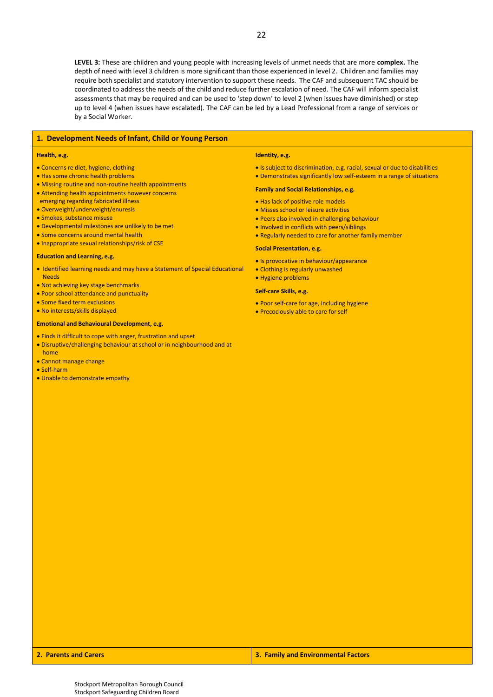**LEVEL 3:** These are children and young people with increasing levels of unmet needs that are more **complex.** The depth of need with level 3 children is more significant than those experienced in level 2. Children and families may require both specialist and statutory intervention to support these needs. The CAF and subsequent TAC should be coordinated to address the needs of the child and reduce further escalation of need. The CAF will inform specialist assessments that may be required and can be used to 'step down' to level 2 (when issues have diminished) or step up to level 4 (when issues have escalated). The CAF can be led by a Lead Professional from a range of services or by a Social Worker.

#### **1. Development Needs of Infant, Child or Young Person**

#### **Health, e.g.**

- Concerns re diet, hygiene, clothing
- Has some chronic health problems
- Missing routine and non-routine health appointments
- Attending health appointments however concerns
- emerging regarding fabricated illness
- Overweight/underweight/enuresis
- Smokes, substance misuse
- Developmental milestones are unlikely to be met
- Some concerns around mental health
- Inappropriate sexual relationships/risk of CSE

#### **Education and Learning, e.g.**

- Identified learning needs and may have a Statement of Special Educational Needs
- Not achieving key stage benchmarks
- Poor school attendance and punctuality
- Some fixed term exclusions
- No interests/skills displayed

### **Emotional and Behavioural Development, e.g.**

- Finds it difficult to cope with anger, frustration and upset
- Disruptive/challenging behaviour at school or in neighbourhood and at home
- Cannot manage change
- Self-harm
- Unable to demonstrate empathy

#### **Identity, e.g.**

- Is subject to discrimination, e.g. racial, sexual or due to disabilities
- Demonstrates significantly low self-esteem in a range of situations

#### **Family and Social Relationships, e.g.**

- Has lack of positive role models
- Misses school or leisure activities
- Peers also involved in challenging behaviour
- Involved in conflicts with peers/siblings
- Regularly needed to care for another family member

#### **Social Presentation, e.g.**

- Is provocative in behaviour/appearance
- Clothing is regularly unwashed
- Hygiene problems

#### **Self-care Skills, e.g.**

- Poor self-care for age, including hygiene
- Precociously able to care for self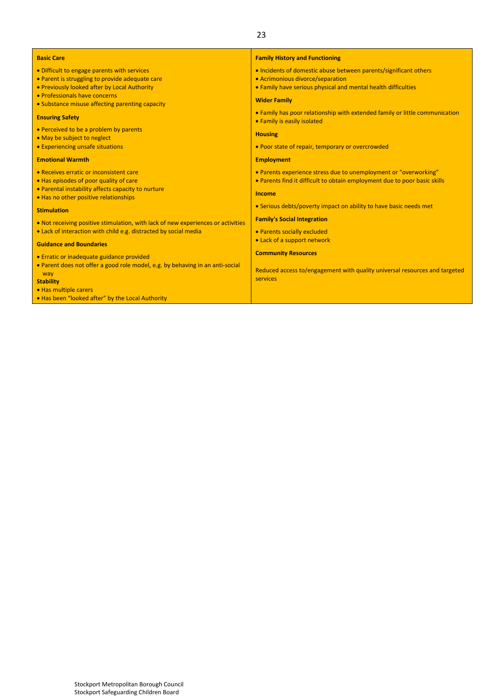| <b>Basic Care</b>                                                                | <b>Family History and Functioning</b>                                                                      |
|----------------------------------------------------------------------------------|------------------------------------------------------------------------------------------------------------|
| • Difficult to engage parents with services                                      | . Incidents of domestic abuse between parents/significant others                                           |
| • Parent is struggling to provide adequate care                                  | • Acrimonious divorce/separation                                                                           |
| • Previously looked after by Local Authority                                     | . Family have serious physical and mental health difficulties                                              |
| • Professionals have concerns                                                    |                                                                                                            |
| • Substance misuse affecting parenting capacity                                  | <b>Wider Family</b>                                                                                        |
| <b>Ensuring Safety</b>                                                           | • Family has poor relationship with extended family or little communication<br>• Family is easily isolated |
| • Perceived to be a problem by parents<br>• May be subject to neglect            | <b>Housing</b>                                                                                             |
| • Experiencing unsafe situations                                                 | • Poor state of repair, temporary or overcrowded                                                           |
| <b>Emotional Warmth</b>                                                          | <b>Employment</b>                                                                                          |
| • Receives erratic or inconsistent care                                          | • Parents experience stress due to unemployment or "overworking"                                           |
| • Has episodes of poor quality of care                                           | • Parents find it difficult to obtain employment due to poor basic skills                                  |
| • Parental instability affects capacity to nurture                               |                                                                                                            |
| . Has no other positive relationships                                            | Income                                                                                                     |
| <b>Stimulation</b>                                                               | • Serious debts/poverty impact on ability to have basic needs met                                          |
| . Not receiving positive stimulation, with lack of new experiences or activities | <b>Family's Social Integration</b>                                                                         |
| • Lack of interaction with child e.g. distracted by social media                 | • Parents socially excluded                                                                                |
|                                                                                  | • Lack of a support network                                                                                |
| <b>Guidance and Boundaries</b>                                                   |                                                                                                            |
| • Erratic or inadequate guidance provided                                        | <b>Community Resources</b>                                                                                 |
| • Parent does not offer a good role model, e.g. by behaving in an anti-social    |                                                                                                            |
| way                                                                              | Reduced access to/engagement with quality universal resources and targeted                                 |
| <b>Stability</b>                                                                 | services                                                                                                   |
| • Has multiple carers                                                            |                                                                                                            |

23

• Has been "looked after" by the Local Authority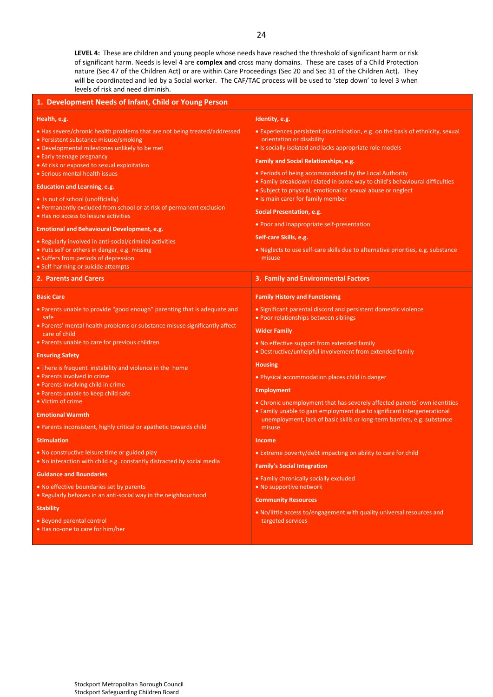**LEVEL 4:** These are children and young people whose needs have reached the threshold of significant harm or risk of significant harm. Needs is level 4 are **complex and** cross many domains. These are cases of a Child Protection nature (Sec 47 of the Children Act) or are within Care Proceedings (Sec 20 and Sec 31 of the Children Act). They will be coordinated and led by a Social worker. The CAF/TAC process will be used to 'step down' to level 3 when levels of risk and need diminish.

| 1. Development Needs of Infant, Child or Young Person                                                                                                               |                                                                                                                                                                          |  |
|---------------------------------------------------------------------------------------------------------------------------------------------------------------------|--------------------------------------------------------------------------------------------------------------------------------------------------------------------------|--|
| Health, e.g.                                                                                                                                                        | Identity, e.g.                                                                                                                                                           |  |
| • Has severe/chronic health problems that are not being treated/addressed<br>• Persistent substance misuse/smoking<br>· Developmental milestones unlikely to be met | • Experiences persistent discrimination, e.g. on the basis of ethnicity, sexual<br>orientation or disability<br>• Is socially isolated and lacks appropriate role models |  |
| • Early teenage pregnancy<br>• At risk or exposed to sexual exploitation                                                                                            | <b>Family and Social Relationships, e.g.</b>                                                                                                                             |  |
| • Serious mental health issues                                                                                                                                      | • Periods of being accommodated by the Local Authority                                                                                                                   |  |
| <b>Education and Learning, e.g.</b>                                                                                                                                 | • Family breakdown related in some way to child's behavioural difficulties<br>• Subject to physical, emotional or sexual abuse or neglect                                |  |
| • Is out of school (unofficially)                                                                                                                                   | • Is main carer for family member                                                                                                                                        |  |
| • Permanently excluded from school or at risk of permanent exclusion<br>. Has no access to leisure activities                                                       | Social Presentation, e.g.                                                                                                                                                |  |
| <b>Emotional and Behavioural Development, e.g.</b>                                                                                                                  | • Poor and inappropriate self-presentation                                                                                                                               |  |
| • Regularly involved in anti-social/criminal activities                                                                                                             | Self-care Skills, e.g.                                                                                                                                                   |  |
| • Puts self or others in danger, e.g. missing                                                                                                                       | • Neglects to use self-care skills due to alternative priorities, e.g. substance<br>misuse                                                                               |  |
| • Suffers from periods of depression<br>• Self-harming or suicide attempts                                                                                          |                                                                                                                                                                          |  |
| 2. Parents and Carers                                                                                                                                               | 3. Family and Environmental Factors                                                                                                                                      |  |
| <b>Basic Care</b>                                                                                                                                                   | <b>Family History and Functioning</b>                                                                                                                                    |  |
| • Parents unable to provide "good enough" parenting that is adequate and<br>safe                                                                                    | • Significant parental discord and persistent domestic violence<br>• Poor relationships between siblings                                                                 |  |
| • Parents' mental health problems or substance misuse significantly affect<br>care of child                                                                         | <b>Wider Family</b>                                                                                                                                                      |  |
| • Parents unable to care for previous children                                                                                                                      | • No effective support from extended family                                                                                                                              |  |
| <b>Ensuring Safety</b>                                                                                                                                              | • Destructive/unhelpful involvement from extended family                                                                                                                 |  |
| • There is frequent instability and violence in the home                                                                                                            | <b>Housing</b>                                                                                                                                                           |  |
| • Parents involved in crime<br>• Parents involving child in crime                                                                                                   | • Physical accommodation places child in danger                                                                                                                          |  |
| • Parents unable to keep child safe                                                                                                                                 | <b>Employment</b>                                                                                                                                                        |  |
| • Victim of crime                                                                                                                                                   | • Chronic unemployment that has severely affected parents' own identities                                                                                                |  |
| <b>Emotional Warmth</b>                                                                                                                                             | • Family unable to gain employment due to significant intergenerational<br>unemployment, lack of basic skills or long-term barriers, e.g. substance                      |  |
| • Parents inconsistent, highly critical or apathetic towards child                                                                                                  | misuse                                                                                                                                                                   |  |
| <b>Stimulation</b>                                                                                                                                                  | <b>Income</b>                                                                                                                                                            |  |
| . No constructive leisure time or guided play<br>• No interaction with child e.g. constantly distracted by social media                                             | • Extreme poverty/debt impacting on ability to care for child                                                                                                            |  |
| <b>Guidance and Boundaries</b>                                                                                                                                      | <b>Family's Social Integration</b>                                                                                                                                       |  |
|                                                                                                                                                                     | • Family chronically socially excluded                                                                                                                                   |  |
| . No effective boundaries set by parents<br>. Regularly behaves in an anti-social way in the neighbourhood                                                          | . No supportive network<br><b>Community Resources</b>                                                                                                                    |  |
| <b>Stability</b>                                                                                                                                                    | . No/little access to/engagement with quality universal resources and                                                                                                    |  |
| • Beyond parental control<br>. Has no-one to care for him/her                                                                                                       | targeted services                                                                                                                                                        |  |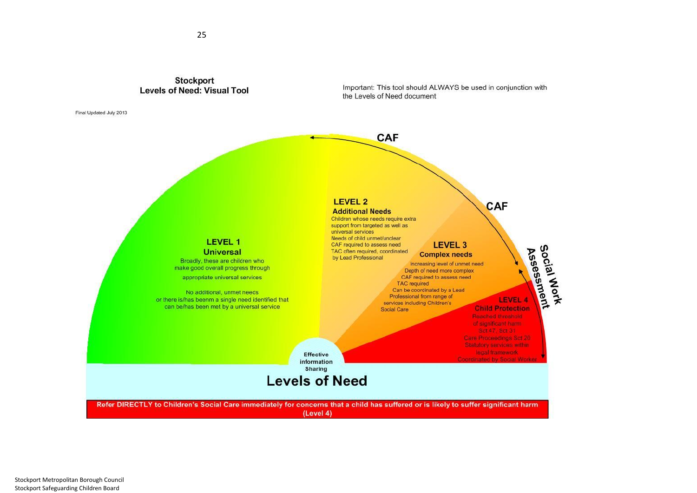

25

Final Updated July 2013

Important: This tool should ALWAYS be used in conjunction with the Levels of Need document

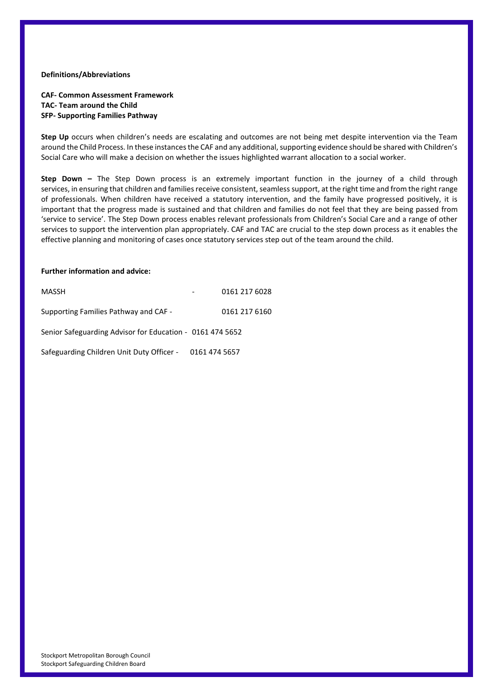### **Definitions/Abbreviations**

### **CAF- Common Assessment Framework TAC- Team around the Child SFP- Supporting Families Pathway**

**Step Up** occurs when children's needs are escalating and outcomes are not being met despite intervention via the Team around the Child Process. In these instances the CAF and any additional, supporting evidence should be shared with Children's Social Care who will make a decision on whether the issues highlighted warrant allocation to a social worker.

**Step Down –** The Step Down process is an extremely important function in the journey of a child through services, in ensuring that children and families receive consistent, seamless support, at the right time and from the right range of professionals. When children have received a statutory intervention, and the family have progressed positively, it is important that the progress made is sustained and that children and families do not feel that they are being passed from 'service to service'. The Step Down process enables relevant professionals from Children's Social Care and a range of other services to support the intervention plan appropriately. CAF and TAC are crucial to the step down process as it enables the effective planning and monitoring of cases once statutory services step out of the team around the child.

#### **Further information and advice:**

| MASSH                                                     | 0161 217 6028 |
|-----------------------------------------------------------|---------------|
| Supporting Families Pathway and CAF -                     | 0161 217 6160 |
| Senior Safeguarding Advisor for Education - 0161 474 5652 |               |
| Safeguarding Children Unit Duty Officer - 0161 474 5657   |               |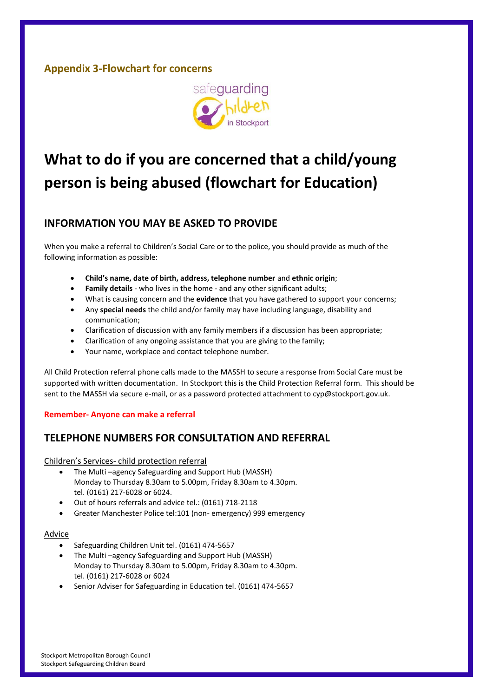# <span id="page-26-0"></span>**Appendix 3-Flowchart for concerns**



# **What to do if you are concerned that a child/young person is being abused (flowchart for Education)**

# **INFORMATION YOU MAY BE ASKED TO PROVIDE**

When you make a referral to Children's Social Care or to the police, you should provide as much of the following information as possible:

- **Child's name, date of birth, address, telephone number** and **ethnic origin**;
- **Family details**  who lives in the home and any other significant adults;
- What is causing concern and the **evidence** that you have gathered to support your concerns;
- Any **special needs** the child and/or family may have including language, disability and communication;
- Clarification of discussion with any family members if a discussion has been appropriate;
- Clarification of any ongoing assistance that you are giving to the family;
- Your name, workplace and contact telephone number.

All Child Protection referral phone calls made to the MASSH to secure a response from Social Care must be supported with written documentation. In Stockport this is the Child Protection Referral form. This should be sent to the MASSH via secure e-mail, or as a password protected attachment to cyp@stockport.gov.uk.

### **Remember- Anyone can make a referral**

# **TELEPHONE NUMBERS FOR CONSULTATION AND REFERRAL**

### Children's Services- child protection referral

- The Multi –agency Safeguarding and Support Hub (MASSH) Monday to Thursday 8.30am to 5.00pm, Friday 8.30am to 4.30pm. tel. (0161) 217-6028 or 6024.
- Out of hours referrals and advice tel.: (0161) 718-2118
- Greater Manchester Police tel:101 (non- emergency) 999 emergency

### Advice

- Safeguarding Children Unit tel. (0161) 474-5657
- The Multi –agency Safeguarding and Support Hub (MASSH) Monday to Thursday 8.30am to 5.00pm, Friday 8.30am to 4.30pm. tel. (0161) 217-6028 or 6024
- Senior Adviser for Safeguarding in Education tel. (0161) 474-5657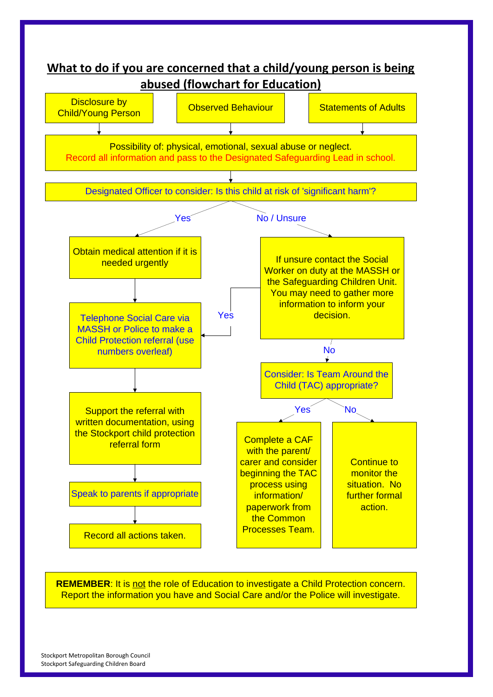

**REMEMBER:** It is not the role of Education to investigate a Child Protection concern. Report the information you have and Social Care and/or the Police will investigate.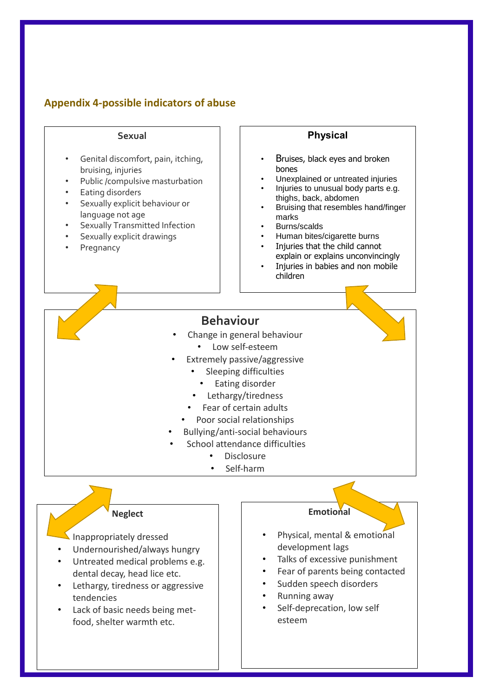# <span id="page-28-0"></span>**Appendix 4-possible indicators of abuse**